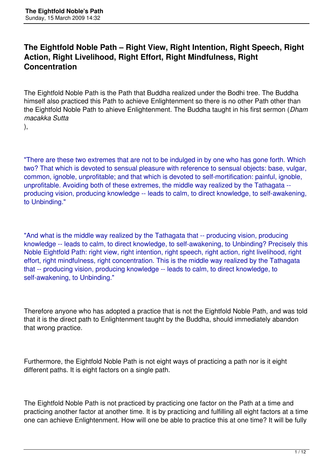# **The Eightfold Noble Path – Right View, Right Intention, Right Speech, Right Action, Right Livelihood, Right Effort, Right Mindfulness, Right Concentration**

The Eightfold Noble Path is the Path that Buddha realized under the Bodhi tree. The Buddha himself also practiced this Path to achieve Enlightenment so there is no other Path other than the Eightfold Noble Path to ahieve Enlightenment. The Buddha taught in his first sermon (*Dham macakka Sutta*

),

"There are these two extremes that are not to be indulged in by one who has gone forth. Which two? That which is devoted to sensual pleasure with reference to sensual objects: base, vulgar, common, ignoble, unprofitable; and that which is devoted to self-mortification: painful, ignoble, unprofitable. Avoiding both of these extremes, the middle way realized by the Tathagata - producing vision, producing knowledge -- leads to calm, to direct knowledge, to self-awakening, to Unbinding."

"And what is the middle way realized by the Tathagata that -- producing vision, producing knowledge -- leads to calm, to direct knowledge, to self-awakening, to Unbinding? Precisely this Noble Eightfold Path: right view, right intention, right speech, right action, right livelihood, right effort, right mindfulness, right concentration. This is the middle way realized by the Tathagata that -- producing vision, producing knowledge -- leads to calm, to direct knowledge, to self-awakening, to Unbinding."

Therefore anyone who has adopted a practice that is not the Eightfold Noble Path, and was told that it is the direct path to Enlightenment taught by the Buddha, should immediately abandon that wrong practice.

Furthermore, the Eightfold Noble Path is not eight ways of practicing a path nor is it eight different paths. It is eight factors on a single path.

The Eightfold Noble Path is not practiced by practicing one factor on the Path at a time and practicing another factor at another time. It is by practicing and fulfilling all eight factors at a time one can achieve Enlightenment. How will one be able to practice this at one time? It will be fully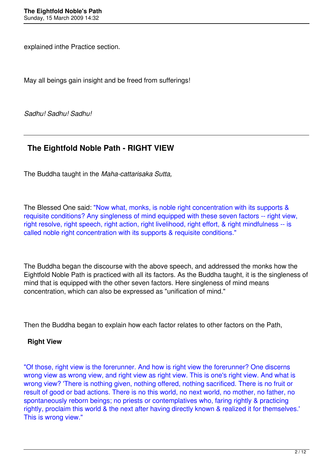explained inthe Practice section.

May all beings gain insight and be freed from sufferings!

*Sadhu! Sadhu! Sadhu!* 

# **The Eightfold Noble Path - RIGHT VIEW**

The Buddha taught in the *Maha-cattarisaka Sutta,*

The Blessed One said: "Now what, monks, is noble right concentration with its supports & requisite conditions? Any singleness of mind equipped with these seven factors -- right view, right resolve, right speech, right action, right livelihood, right effort, & right mindfulness -- is called noble right concentration with its supports & requisite conditions."

The Buddha began the discourse with the above speech, and addressed the monks how the Eightfold Noble Path is practiced with all its factors. As the Buddha taught, it is the singleness of mind that is equipped with the other seven factors. Here singleness of mind means concentration, which can also be expressed as "unification of mind."

Then the Buddha began to explain how each factor relates to other factors on the Path,

#### **Right View**

"Of those, right view is the forerunner. And how is right view the forerunner? One discerns wrong view as wrong view, and right view as right view. This is one's right view. And what is wrong view? 'There is nothing given, nothing offered, nothing sacrificed. There is no fruit or result of good or bad actions. There is no this world, no next world, no mother, no father, no spontaneously reborn beings; no priests or contemplatives who, faring rightly & practicing rightly, proclaim this world & the next after having directly known & realized it for themselves.' This is wrong view."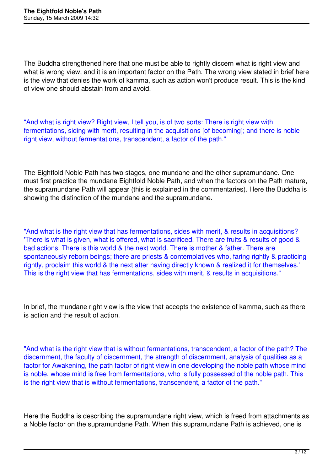The Buddha strengthened here that one must be able to rightly discern what is right view and what is wrong view, and it is an important factor on the Path. The wrong view stated in brief here is the view that denies the work of kamma, such as action won't produce result. This is the kind of view one should abstain from and avoid.

"And what is right view? Right view, I tell you, is of two sorts: There is right view with fermentations*,* siding with merit, resulting in the acquisitions [of becoming]; and there is noble right view, without fermentations, transcendent, a factor of the path."

The Eightfold Noble Path has two stages, one mundane and the other supramundane. One must first practice the mundane Eightfold Noble Path, and when the factors on the Path mature, the supramundane Path will appear (this is explained in the commentaries). Here the Buddha is showing the distinction of the mundane and the supramundane.

"And what is the right view that has fermentations, sides with merit, & results in acquisitions? 'There is what is given, what is offered, what is sacrificed. There are fruits & results of good & bad actions. There is this world & the next world. There is mother & father. There are spontaneously reborn beings; there are priests & contemplatives who, faring rightly & practicing rightly, proclaim this world & the next after having directly known & realized it for themselves.' This is the right view that has fermentations, sides with merit, & results in acquisitions."

In brief, the mundane right view is the view that accepts the existence of kamma, such as there is action and the result of action.

"And what is the right view that is without fermentations, transcendent, a factor of the path? The discernment, the faculty of discernment, the strength of discernment, analysis of qualities as a factor for Awakening, the path factor of right view in one developing the noble path whose mind is noble, whose mind is free from fermentations, who is fully possessed of the noble path. This is the right view that is without fermentations, transcendent, a factor of the path."

Here the Buddha is describing the supramundane right view, which is freed from attachments as a Noble factor on the supramundane Path. When this supramundane Path is achieved, one is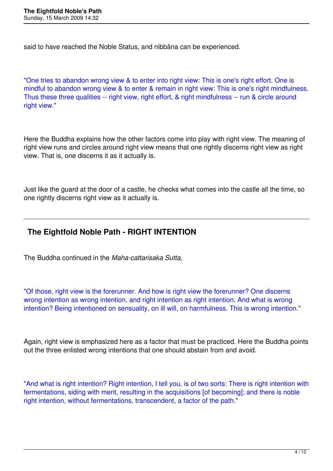said to have reached the Noble Status, and nibbāna can be experienced.

"One tries to abandon wrong view & to enter into right view: This is one's right effort. One is mindful to abandon wrong view & to enter & remain in right view: This is one's right mindfulness. Thus these three qualities -- right view, right effort, & right mindfulness -- run & circle around right view."

Here the Buddha explains how the other factors come into play with right view. The meaning of right view runs and circles around right view means that one rightly discerns right view as right view. That is, one discerns it as it actually is.

Just like the guard at the door of a castle, he checks what comes into the castle all the time, so one rightly discerns right view as it actually is.

### **The Eightfold Noble Path - RIGHT INTENTION**

The Buddha continued in the *Maha-cattarisaka Sutta,*

"Of those, right view is the forerunner. And how is right view the forerunner? One discerns wrong intention as wrong intention, and right intention as right intention. And what is wrong intention? Being intentioned on sensuality, on ill will, on harmfulness. This is wrong intention."

Again, right view is emphasized here as a factor that must be practiced. Here the Buddha points out the three enlisted wrong intentions that one should abstain from and avoid.

"And what is right intention? Right intention, I tell you, is of two sorts: There is right intention with fermentations, siding with merit, resulting in the acquisitions [of becoming]; and there is noble right intention, without fermentations, transcendent, a factor of the path."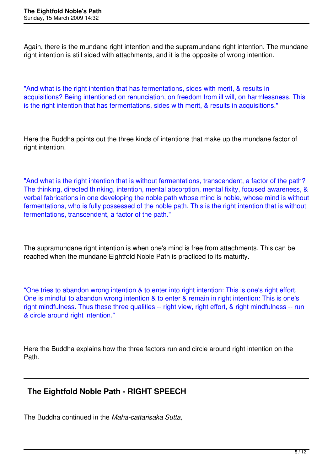Again, there is the mundane right intention and the supramundane right intention. The mundane right intention is still sided with attachments, and it is the opposite of wrong intention.

"And what is the right intention that has fermentations, sides with merit, & results in acquisitions? Being intentioned on renunciation, on freedom from ill will, on harmlessness. This is the right intention that has fermentations, sides with merit, & results in acquisitions."

Here the Buddha points out the three kinds of intentions that make up the mundane factor of right intention.

"And what is the right intention that is without fermentations, transcendent, a factor of the path? The thinking, directed thinking, intention, mental absorption, mental fixity, focused awareness, & verbal fabrications in one developing the noble path whose mind is noble, whose mind is without fermentations, who is fully possessed of the noble path. This is the right intention that is without fermentations, transcendent, a factor of the path."

The supramundane right intention is when one's mind is free from attachments. This can be reached when the mundane Eightfold Noble Path is practiced to its maturity.

"One tries to abandon wrong intention & to enter into right intention: This is one's right effort. One is mindful to abandon wrong intention & to enter & remain in right intention: This is one's right mindfulness. Thus these three qualities -- right view, right effort, & right mindfulness -- run & circle around right intention."

Here the Buddha explains how the three factors run and circle around right intention on the Path.

## **The Eightfold Noble Path - RIGHT SPEECH**

The Buddha continued in the *Maha-cattarisaka Sutta,*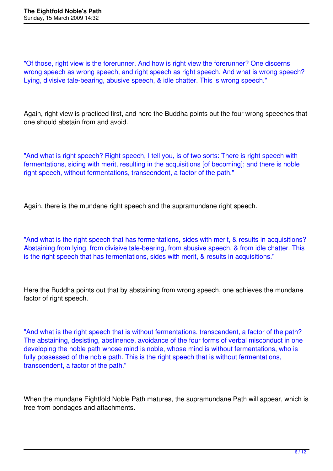"Of those, right view is the forerunner. And how is right view the forerunner? One discerns wrong speech as wrong speech, and right speech as right speech. And what is wrong speech? Lying, divisive tale-bearing, abusive speech, & idle chatter. This is wrong speech."

Again, right view is practiced first, and here the Buddha points out the four wrong speeches that one should abstain from and avoid.

"And what is right speech? Right speech, I tell you, is of two sorts: There is right speech with fermentations, siding with merit, resulting in the acquisitions [of becoming]; and there is noble right speech, without fermentations, transcendent, a factor of the path."

Again, there is the mundane right speech and the supramundane right speech.

"And what is the right speech that has fermentations, sides with merit, & results in acquisitions? Abstaining from lying, from divisive tale-bearing, from abusive speech, & from idle chatter. This is the right speech that has fermentations, sides with merit, & results in acquisitions."

Here the Buddha points out that by abstaining from wrong speech, one achieves the mundane factor of right speech.

"And what is the right speech that is without fermentations, transcendent, a factor of the path? The abstaining, desisting, abstinence, avoidance of the four forms of verbal misconduct in one developing the noble path whose mind is noble, whose mind is without fermentations, who is fully possessed of the noble path. This is the right speech that is without fermentations, transcendent, a factor of the path."

When the mundane Eightfold Noble Path matures, the supramundane Path will appear, which is free from bondages and attachments.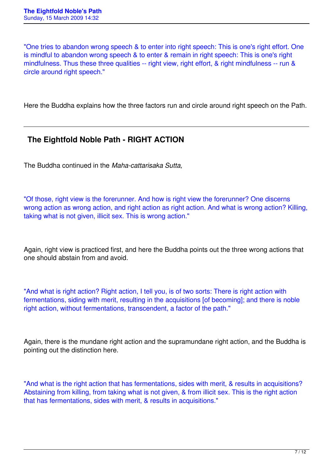"One tries to abandon wrong speech & to enter into right speech: This is one's right effort. One is mindful to abandon wrong speech & to enter & remain in right speech: This is one's right mindfulness. Thus these three qualities -- right view, right effort, & right mindfulness -- run & circle around right speech."

Here the Buddha explains how the three factors run and circle around right speech on the Path.

## **The Eightfold Noble Path - RIGHT ACTION**

The Buddha continued in the *Maha-cattarisaka Sutta,*

"Of those, right view is the forerunner. And how is right view the forerunner? One discerns wrong action as wrong action, and right action as right action. And what is wrong action? Killing, taking what is not given, illicit sex. This is wrong action."

Again, right view is practiced first, and here the Buddha points out the three wrong actions that one should abstain from and avoid.

"And what is right action? Right action, I tell you, is of two sorts: There is right action with fermentations, siding with merit, resulting in the acquisitions [of becoming]; and there is noble right action, without fermentations, transcendent, a factor of the path."

Again, there is the mundane right action and the supramundane right action, and the Buddha is pointing out the distinction here.

"And what is the right action that has fermentations, sides with merit, & results in acquisitions? Abstaining from killing, from taking what is not given, & from illicit sex. This is the right action that has fermentations, sides with merit, & results in acquisitions."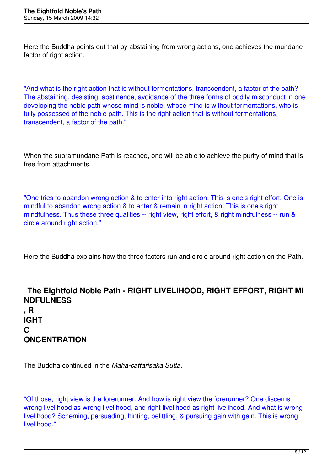Here the Buddha points out that by abstaining from wrong actions, one achieves the mundane factor of right action.

"And what is the right action that is without fermentations, transcendent, a factor of the path? The abstaining, desisting, abstinence, avoidance of the three forms of bodily misconduct in one developing the noble path whose mind is noble, whose mind is without fermentations, who is fully possessed of the noble path. This is the right action that is without fermentations, transcendent, a factor of the path."

When the supramundane Path is reached, one will be able to achieve the purity of mind that is free from attachments.

"One tries to abandon wrong action & to enter into right action: This is one's right effort. One is mindful to abandon wrong action & to enter & remain in right action: This is one's right mindfulness. Thus these three qualities -- right view, right effort, & right mindfulness -- run & circle around right action."

Here the Buddha explains how the three factors run and circle around right action on the Path.

# **The Eightfold Noble Path - RIGHT LIVELIHOOD, RIGHT EFFORT, RIGHT MI NDFULNESS , R IGHT C ONCENTRATION**

The Buddha continued in the *Maha-cattarisaka Sutta,*

"Of those, right view is the forerunner. And how is right view the forerunner? One discerns wrong livelihood as wrong livelihood, and right livelihood as right livelihood. And what is wrong livelihood? Scheming, persuading, hinting, belittling, & pursuing gain with gain. This is wrong livelihood."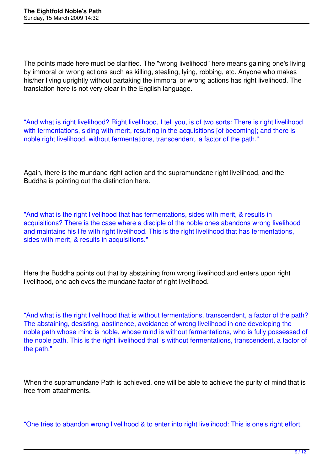The points made here must be clarified. The "wrong livelihood" here means gaining one's living by immoral or wrong actions such as killing, stealing, lying, robbing, etc. Anyone who makes his/her living uprightly without partaking the immoral or wrong actions has right livelihood. The translation here is not very clear in the English language.

"And what is right livelihood? Right livelihood, I tell you, is of two sorts: There is right livelihood with fermentations, siding with merit, resulting in the acquisitions [of becoming]; and there is noble right livelihood, without fermentations, transcendent, a factor of the path."

Again, there is the mundane right action and the supramundane right livelihood, and the Buddha is pointing out the distinction here.

"And what is the right livelihood that has fermentations, sides with merit, & results in acquisitions? There is the case where a disciple of the noble ones abandons wrong livelihood and maintains his life with right livelihood. This is the right livelihood that has fermentations, sides with merit, & results in acquisitions."

Here the Buddha points out that by abstaining from wrong livelihood and enters upon right livelihood, one achieves the mundane factor of right livelihood.

"And what is the right livelihood that is without fermentations, transcendent, a factor of the path? The abstaining, desisting, abstinence, avoidance of wrong livelihood in one developing the noble path whose mind is noble, whose mind is without fermentations, who is fully possessed of the noble path. This is the right livelihood that is without fermentations, transcendent, a factor of the path."

When the supramundane Path is achieved, one will be able to achieve the purity of mind that is free from attachments.

"One tries to abandon wrong livelihood & to enter into right livelihood: This is one's right effort.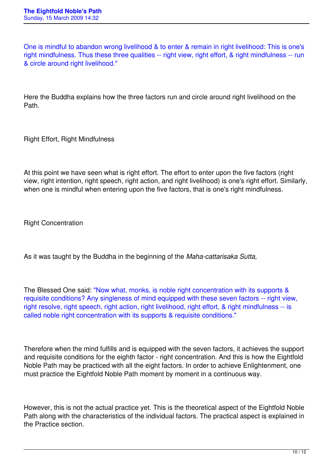One is mindful to abandon wrong livelihood & to enter & remain in right livelihood: This is one's right mindfulness. Thus these three qualities -- right view, right effort, & right mindfulness -- run & circle around right livelihood."

Here the Buddha explains how the three factors run and circle around right livelihood on the Path.

Right Effort, Right Mindfulness

At this point we have seen what is right effort. The effort to enter upon the five factors (right view, right intention, right speech, right action, and right livelihood) is one's right effort. Similarly, when one is mindful when entering upon the five factors, that is one's right mindfulness.

Right Concentration

As it was taught by the Buddha in the beginning of the *Maha-cattarisaka Sutta,*

The Blessed One said: "Now what, monks, is noble right concentration with its supports & requisite conditions? Any singleness of mind equipped with these seven factors -- right view, right resolve, right speech, right action, right livelihood, right effort, & right mindfulness -- is called noble right concentration with its supports & requisite conditions."

Therefore when the mind fulfills and is equipped with the seven factors, it achieves the support and requisite conditions for the eighth factor - right concentration. And this is how the Eightfold Noble Path may be practiced with all the eight factors. In order to achieve Enlightenment, one must practice the Eightfold Noble Path moment by moment in a continuous way.

However, this is not the actual practice yet. This is the theoretical aspect of the Eightfold Noble Path along with the characteristics of the individual factors. The practical aspect is explained in the Practice section.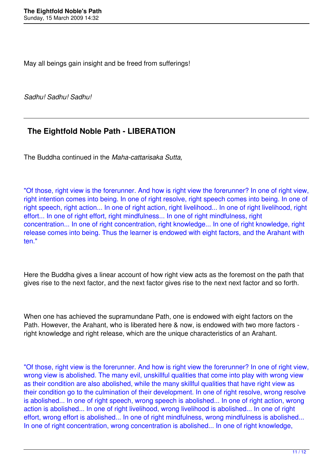May all beings gain insight and be freed from sufferings!

*Sadhu! Sadhu! Sadhu!* 

### **The Eightfold Noble Path - LIBERATION**

The Buddha continued in the *Maha-cattarisaka Sutta,*

"Of those, right view is the forerunner. And how is right view the forerunner? In one of right view, right intention comes into being. In one of right resolve, right speech comes into being. In one of right speech, right action... In one of right action, right livelihood... In one of right livelihood, right effort... In one of right effort, right mindfulness... In one of right mindfulness, right concentration... In one of right concentration, right knowledge... In one of right knowledge, right release comes into being. Thus the learner is endowed with eight factors, and the Arahant with ten."

Here the Buddha gives a linear account of how right view acts as the foremost on the path that gives rise to the next factor, and the next factor gives rise to the next next factor and so forth.

When one has achieved the supramundane Path, one is endowed with eight factors on the Path. However, the Arahant, who is liberated here & now, is endowed with two more factors right knowledge and right release, which are the unique characteristics of an Arahant.

"Of those, right view is the forerunner. And how is right view the forerunner? In one of right view, wrong view is abolished. The many evil, unskillful qualities that come into play with wrong view as their condition are also abolished, while the many skillful qualities that have right view as their condition go to the culmination of their development. In one of right resolve, wrong resolve is abolished... In one of right speech, wrong speech is abolished... In one of right action, wrong action is abolished... In one of right livelihood, wrong livelihood is abolished... In one of right effort, wrong effort is abolished... In one of right mindfulness, wrong mindfulness is abolished... In one of right concentration, wrong concentration is abolished... In one of right knowledge,